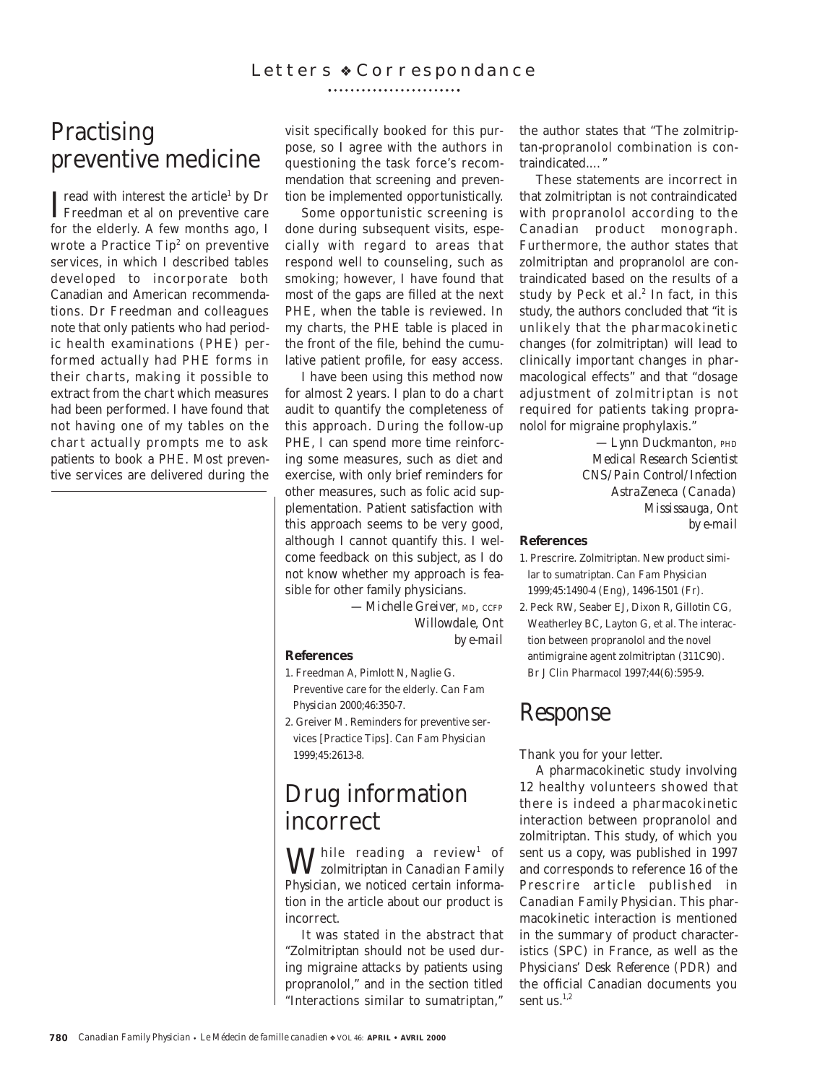# **Practising** preventive medicine

 $\begin{array}{l} \prod \text{read with interest the article} \text{ by Dr} \\ \text{Freedman et al on preventive care} \end{array}$ Freedman et al on preventive care for the elderly. A few months ago, I wrote a Practice  $Tip<sup>2</sup>$  on preventive services, in which I described tables developed to incorporate both Canadian and American recommendations. Dr Freedman and colleagues note that only patients who had periodic health examinations (PHE) performed actually had PHE forms in their charts, making it possible to extract from the chart which measures had been performed. I have found that not having one of my tables on the chart actually prompts me to ask patients to book a PHE. Most preventive services are delivered during the

visit specifically booked for this purpose, so I agree with the authors in questioning the task force's recommendation that screening and prevention be implemented opportunistically.

Some opportunistic screening is done during subsequent visits, especially with regard to areas that respond well to counseling, such as smoking; however, I have found that most of the gaps are filled at the next PHE, when the table is reviewed. In my charts, the PHE table is placed in the front of the file, behind the cumulative patient profile, for easy access.

I have been using this method now for almost 2 years. I plan to do a chart audit to quantify the completeness of this approach. During the follow-up PHE, I can spend more time reinforcing some measures, such as diet and exercise, with only brief reminders for other measures, such as folic acid supplementation. Patient satisfaction with this approach seems to be very good, although I cannot quantify this. I welcome feedback on this subject, as I do not know whether my approach is feasible for other family physicians.

> *—Michelle Greiver, MD, CCFP Willowdale, Ont by e-mail*

#### **References**

- 1. Freedman A, Pimlott N, Naglie G. Preventive care for the elderly. *Can Fam Physician* 2000;46:350-7.
- 2. Greiver M. Reminders for preventive services [Practice Tips]. *Can Fam Physician* 1999;45:2613-8.

## Drug information incorrect

While reading a review1 of zolmitriptan in *Canadian Family Physician*, we noticed certain information in the article about our product is incorrect.

It was stated in the abstract that "Zolmitriptan should not be used during migraine attacks by patients using propranolol," and in the section titled "Interactions similar to sumatriptan,"

the author states that "The zolmitriptan-propranolol combination is contraindicated.…"

These statements are incorrect in that zolmitriptan is *not* contraindicated with propranolol according to the Canadian product monograph. Furthermore, the author states that zolmitriptan and propranolol are contraindicated based on the results of a study by Peck et al. $2$  In fact, in this study, the authors concluded that "it is unlikely that the pharmacokinetic changes (for zolmitriptan) will lead to clinically important changes in pharmacological effects" and that "dosage adjustment of zolmitriptan is not required for patients taking propranolol for migraine prophylaxis."

> *—Lynn Duckmanton, PHD Medical Research Scientist CNS/Pain Control/Infection AstraZeneca (Canada) Mississauga, Ont by e-mail*

#### **References**

1. Prescrire. Zolmitriptan. New product similar to sumatriptan. *Can Fam Physician* 1999;45:1490-4 (Eng), 1496-1501 (Fr).

2. Peck RW, Seaber EJ, Dixon R, Gillotin CG, Weatherley BC, Layton G, et al. The interaction between propranolol and the novel antimigraine agent zolmitriptan (311C90). *Br J Clin Pharmacol* 1997;44(6):595-9.

## *Response*

Thank you for your letter.

A pharmacokinetic study involving 12 healthy volunteers showed that there is indeed a pharmacokinetic interaction between propranolol and zolmitriptan. This study, of which you sent us a copy, was published in 1997 and corresponds to reference 16 of the Prescrire article published in *Canadian Family Physician*. This pharmacokinetic interaction is mentioned in the summary of product characteristics (SPC) in France, as well as the *Physicians' Desk Reference (PDR)* and the official Canadian documents you sent us. $^{1,2}$